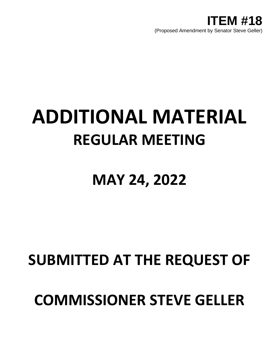

## **ADDITIONAL MATERIAL REGULAR MEETING**

## **MAY 24, 2022**

## **SUBMITTED AT THE REQUEST OF**

## **COMMISSIONER STEVE GELLER**